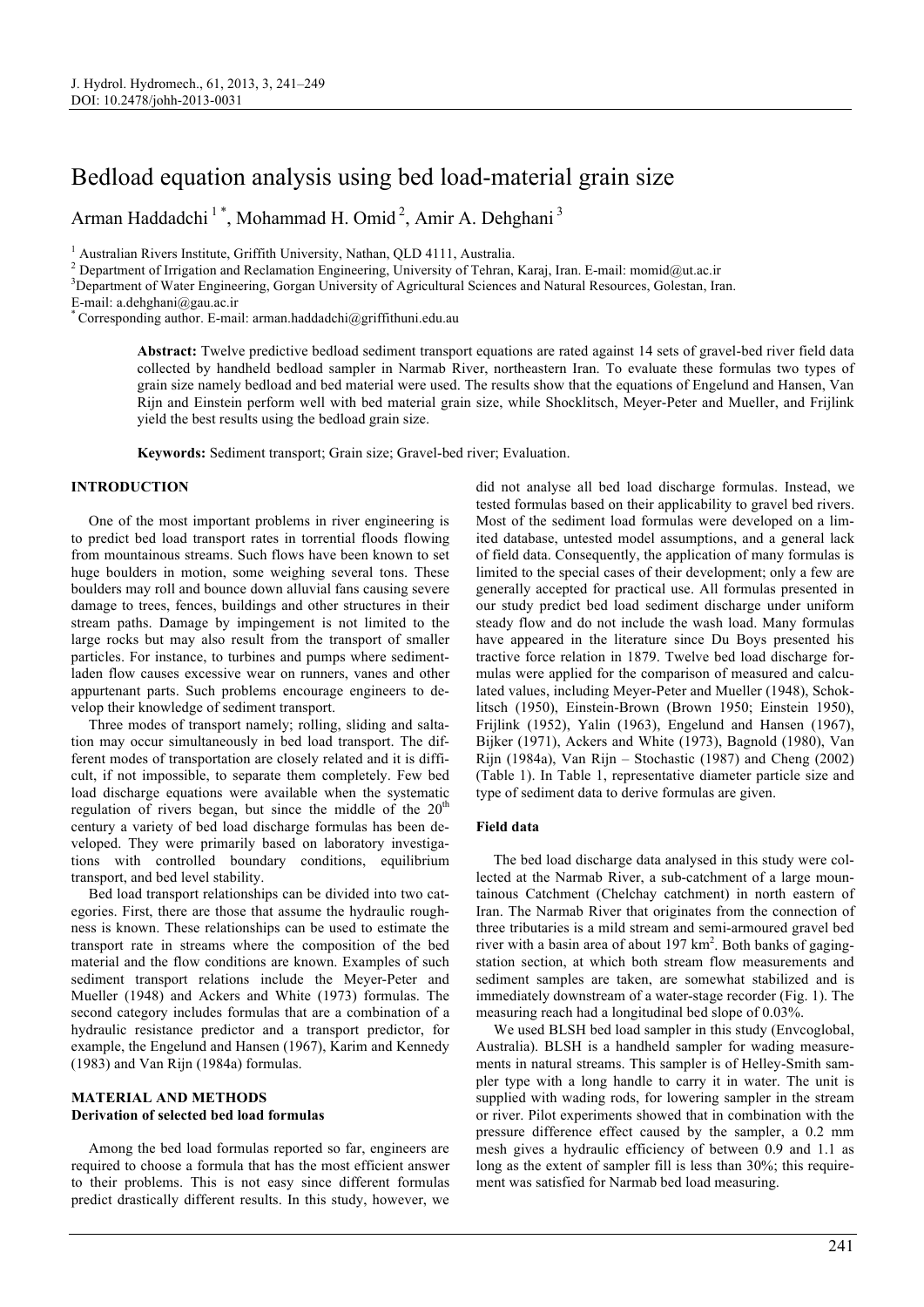# Bedload equation analysis using bed load-material grain size

Arman Haddadchi<sup>1</sup>\*, Mohammad H. Omid<sup>2</sup>, Amir A. Dehghani<sup>3</sup>

<sup>1</sup> Australian Rivers Institute, Griffith University, Nathan, OLD 4111, Australia.

<sup>2</sup> Department of Irrigation and Reclamation Engineering, University of Tehran, Karaj, Iran. E-mail: momid@ut.ac.ir

<sup>3</sup> Department of Water Engineering, Gorgan University of Agricultural Sciences and Natural Resources, Golestan, Iran.

E-mail: a.dehghani@gau.ac.ir \* Corresponding author. E-mail: arman.haddadchi@griffithuni.edu.au

**Abstract:** Twelve predictive bedload sediment transport equations are rated against 14 sets of gravel-bed river field data collected by handheld bedload sampler in Narmab River, northeastern Iran. To evaluate these formulas two types of grain size namely bedload and bed material were used. The results show that the equations of Engelund and Hansen, Van Rijn and Einstein perform well with bed material grain size, while Shocklitsch, Meyer-Peter and Mueller, and Frijlink yield the best results using the bedload grain size.

**Keywords:** Sediment transport; Grain size; Gravel-bed river; Evaluation.

## **INTRODUCTION**

One of the most important problems in river engineering is to predict bed load transport rates in torrential floods flowing from mountainous streams. Such flows have been known to set huge boulders in motion, some weighing several tons. These boulders may roll and bounce down alluvial fans causing severe damage to trees, fences, buildings and other structures in their stream paths. Damage by impingement is not limited to the large rocks but may also result from the transport of smaller particles. For instance, to turbines and pumps where sedimentladen flow causes excessive wear on runners, vanes and other appurtenant parts. Such problems encourage engineers to develop their knowledge of sediment transport.

Three modes of transport namely; rolling, sliding and saltation may occur simultaneously in bed load transport. The different modes of transportation are closely related and it is difficult, if not impossible, to separate them completely. Few bed load discharge equations were available when the systematic regulation of rivers began, but since the middle of the  $20<sup>th</sup>$ century a variety of bed load discharge formulas has been developed. They were primarily based on laboratory investigations with controlled boundary conditions, equilibrium transport, and bed level stability.

Bed load transport relationships can be divided into two categories. First, there are those that assume the hydraulic roughness is known. These relationships can be used to estimate the transport rate in streams where the composition of the bed material and the flow conditions are known. Examples of such sediment transport relations include the Meyer-Peter and Mueller (1948) and Ackers and White (1973) formulas. The second category includes formulas that are a combination of a hydraulic resistance predictor and a transport predictor, for example, the Engelund and Hansen (1967), Karim and Kennedy (1983) and Van Rijn (1984a) formulas.

# **MATERIAL AND METHODS Derivation of selected bed load formulas**

Among the bed load formulas reported so far, engineers are required to choose a formula that has the most efficient answer to their problems. This is not easy since different formulas predict drastically different results. In this study, however, we

did not analyse all bed load discharge formulas. Instead, we tested formulas based on their applicability to gravel bed rivers. Most of the sediment load formulas were developed on a limited database, untested model assumptions, and a general lack of field data. Consequently, the application of many formulas is limited to the special cases of their development; only a few are generally accepted for practical use. All formulas presented in our study predict bed load sediment discharge under uniform steady flow and do not include the wash load. Many formulas have appeared in the literature since Du Boys presented his tractive force relation in 1879. Twelve bed load discharge formulas were applied for the comparison of measured and calculated values, including Meyer-Peter and Mueller (1948), Schoklitsch (1950), Einstein-Brown (Brown 1950; Einstein 1950), Frijlink (1952), Yalin (1963), Engelund and Hansen (1967), Bijker (1971), Ackers and White (1973), Bagnold (1980), Van Rijn (1984a), Van Rijn – Stochastic (1987) and Cheng (2002) (Table 1). In Table 1, representative diameter particle size and type of sediment data to derive formulas are given.

#### **Field data**

The bed load discharge data analysed in this study were collected at the Narmab River, a sub-catchment of a large mountainous Catchment (Chelchay catchment) in north eastern of Iran. The Narmab River that originates from the connection of three tributaries is a mild stream and semi-armoured gravel bed river with a basin area of about  $197 \text{ km}^2$ . Both banks of gagingstation section, at which both stream flow measurements and sediment samples are taken, are somewhat stabilized and is immediately downstream of a water-stage recorder (Fig. 1). The measuring reach had a longitudinal bed slope of 0.03%.

We used BLSH bed load sampler in this study (Envcoglobal, Australia). BLSH is a handheld sampler for wading measurements in natural streams. This sampler is of Helley-Smith sampler type with a long handle to carry it in water. The unit is supplied with wading rods, for lowering sampler in the stream or river. Pilot experiments showed that in combination with the pressure difference effect caused by the sampler, a 0.2 mm mesh gives a hydraulic efficiency of between 0.9 and 1.1 as long as the extent of sampler fill is less than 30%; this requirement was satisfied for Narmab bed load measuring.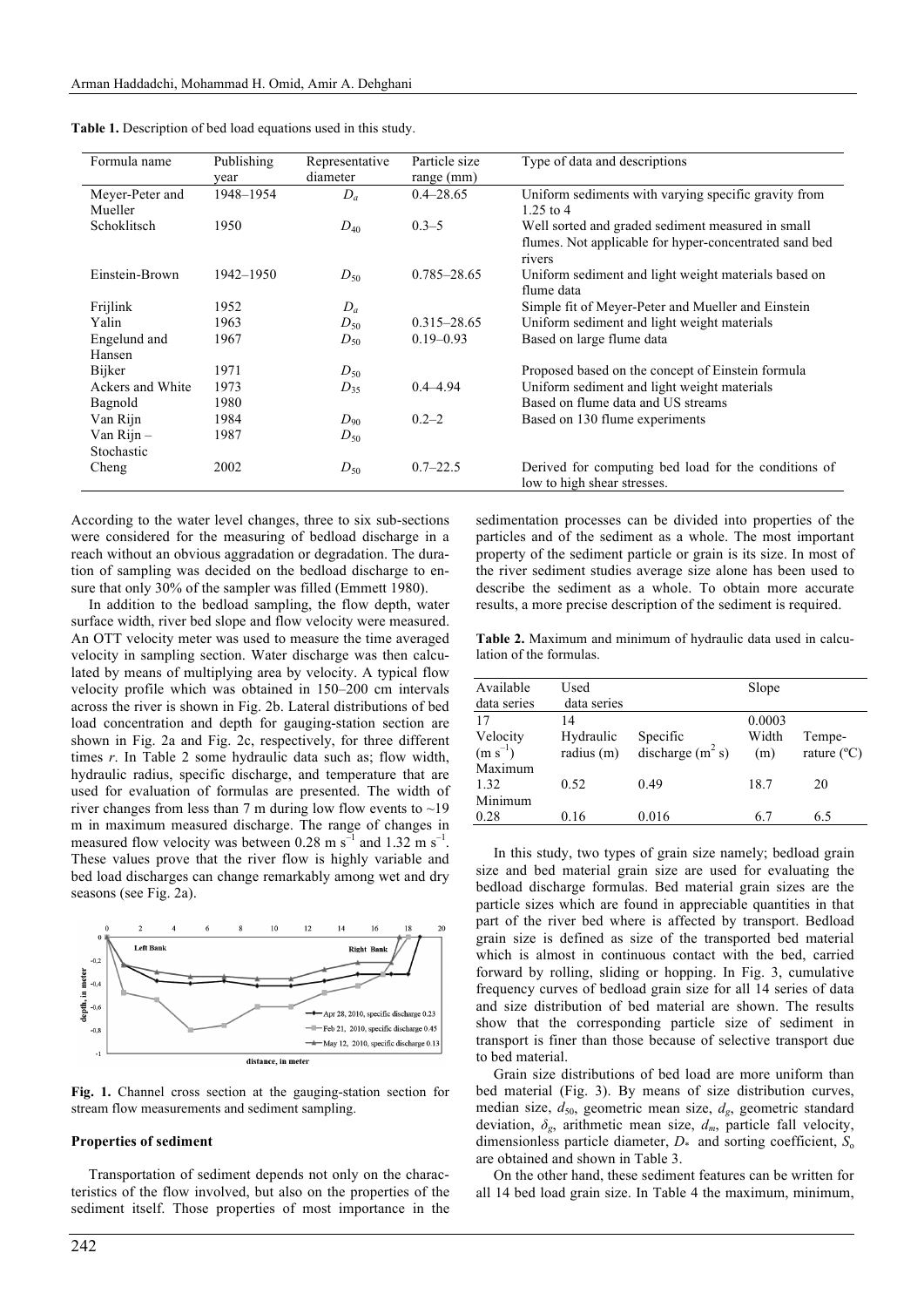| Formula name               | Publishing | Representative<br>diameter | Particle size   | Type of data and descriptions                                                                                         |
|----------------------------|------------|----------------------------|-----------------|-----------------------------------------------------------------------------------------------------------------------|
|                            | vear       |                            | range (mm)      |                                                                                                                       |
| Meyer-Peter and<br>Mueller | 1948-1954  | $D_a$                      | $0.4 - 28.65$   | Uniform sediments with varying specific gravity from<br>1.25 to 4                                                     |
| Schoklitsch                | 1950       | $D_{40}$                   | $0.3 - 5$       | Well sorted and graded sediment measured in small<br>flumes. Not applicable for hyper-concentrated sand bed<br>rivers |
| Einstein-Brown             | 1942-1950  | $D_{50}$                   | 0.785-28.65     | Uniform sediment and light weight materials based on<br>flume data                                                    |
| Frijlink                   | 1952       | $D_a$                      |                 | Simple fit of Meyer-Peter and Mueller and Einstein                                                                    |
| Yalin                      | 1963       | $D_{50}$                   | $0.315 - 28.65$ | Uniform sediment and light weight materials                                                                           |
| Engelund and<br>Hansen     | 1967       | $D_{50}$                   | $0.19 - 0.93$   | Based on large flume data                                                                                             |
| Bijker                     | 1971       | $D_{50}$                   |                 | Proposed based on the concept of Einstein formula                                                                     |
| Ackers and White           | 1973       | $D_{35}$                   | $0.4 - 4.94$    | Uniform sediment and light weight materials                                                                           |
| Bagnold                    | 1980       |                            |                 | Based on flume data and US streams                                                                                    |
| Van Rijn                   | 1984       | $D_{90}$                   | $0.2 - 2$       | Based on 130 flume experiments                                                                                        |
| Van $Rijn -$<br>Stochastic | 1987       | $D_{50}$                   |                 |                                                                                                                       |
| Cheng                      | 2002       | $D_{50}$                   | $0.7 - 22.5$    | Derived for computing bed load for the conditions of<br>low to high shear stresses.                                   |

**Table 1.** Description of bed load equations used in this study.

According to the water level changes, three to six sub-sections were considered for the measuring of bedload discharge in a reach without an obvious aggradation or degradation. The duration of sampling was decided on the bedload discharge to ensure that only 30% of the sampler was filled (Emmett 1980).

In addition to the bedload sampling, the flow depth, water surface width, river bed slope and flow velocity were measured. An OTT velocity meter was used to measure the time averaged velocity in sampling section. Water discharge was then calculated by means of multiplying area by velocity. A typical flow velocity profile which was obtained in 150–200 cm intervals across the river is shown in Fig. 2b. Lateral distributions of bed load concentration and depth for gauging-station section are shown in Fig. 2a and Fig. 2c, respectively, for three different times *r*. In Table 2 some hydraulic data such as; flow width, hydraulic radius, specific discharge, and temperature that are used for evaluation of formulas are presented. The width of river changes from less than 7 m during low flow events to  $\sim$ 19 m in maximum measured discharge. The range of changes in measured flow velocity was between 0.28 m  $\mathrm{s}^{-1}$  and 1.32 m  $\mathrm{s}^{-1}$ . These values prove that the river flow is highly variable and bed load discharges can change remarkably among wet and dry seasons (see Fig. 2a).



**Fig. 1.** Channel cross section at the gauging-station section for stream flow measurements and sediment sampling.

#### **Properties of sediment**

Transportation of sediment depends not only on the characteristics of the flow involved, but also on the properties of the sediment itself. Those properties of most importance in the

242

sedimentation processes can be divided into properties of the particles and of the sediment as a whole. The most important property of the sediment particle or grain is its size. In most of the river sediment studies average size alone has been used to describe the sediment as a whole. To obtain more accurate results, a more precise description of the sediment is required.

**Table 2.** Maximum and minimum of hydraulic data used in calculation of the formulas.

| Used         |                     | Slope  |                      |
|--------------|---------------------|--------|----------------------|
| data series  |                     |        |                      |
| 14           |                     | 0.0003 |                      |
| Hydraulic    | Specific            | Width  | Tempe-               |
| radius $(m)$ | discharge $(m^2 s)$ | (m)    | rature $(^{\circ}C)$ |
|              |                     |        |                      |
| 0.52         | 0.49                | 18.7   | 20                   |
|              |                     |        |                      |
| 0.16         | 0.016               | 6.7    | 6.5                  |
|              |                     |        |                      |

In this study, two types of grain size namely; bedload grain size and bed material grain size are used for evaluating the bedload discharge formulas. Bed material grain sizes are the particle sizes which are found in appreciable quantities in that part of the river bed where is affected by transport. Bedload grain size is defined as size of the transported bed material which is almost in continuous contact with the bed, carried forward by rolling, sliding or hopping. In Fig. 3, cumulative frequency curves of bedload grain size for all 14 series of data and size distribution of bed material are shown. The results show that the corresponding particle size of sediment in transport is finer than those because of selective transport due to bed material.

Grain size distributions of bed load are more uniform than bed material (Fig. 3). By means of size distribution curves, median size,  $d_{50}$ , geometric mean size,  $d_g$ , geometric standard deviation,  $\delta_{g}$ , arithmetic mean size,  $d_{m}$ , particle fall velocity, dimensionless particle diameter,  $D^*$  and sorting coefficient,  $S_0$ are obtained and shown in Table 3.

On the other hand, these sediment features can be written for all 14 bed load grain size. In Table 4 the maximum, minimum,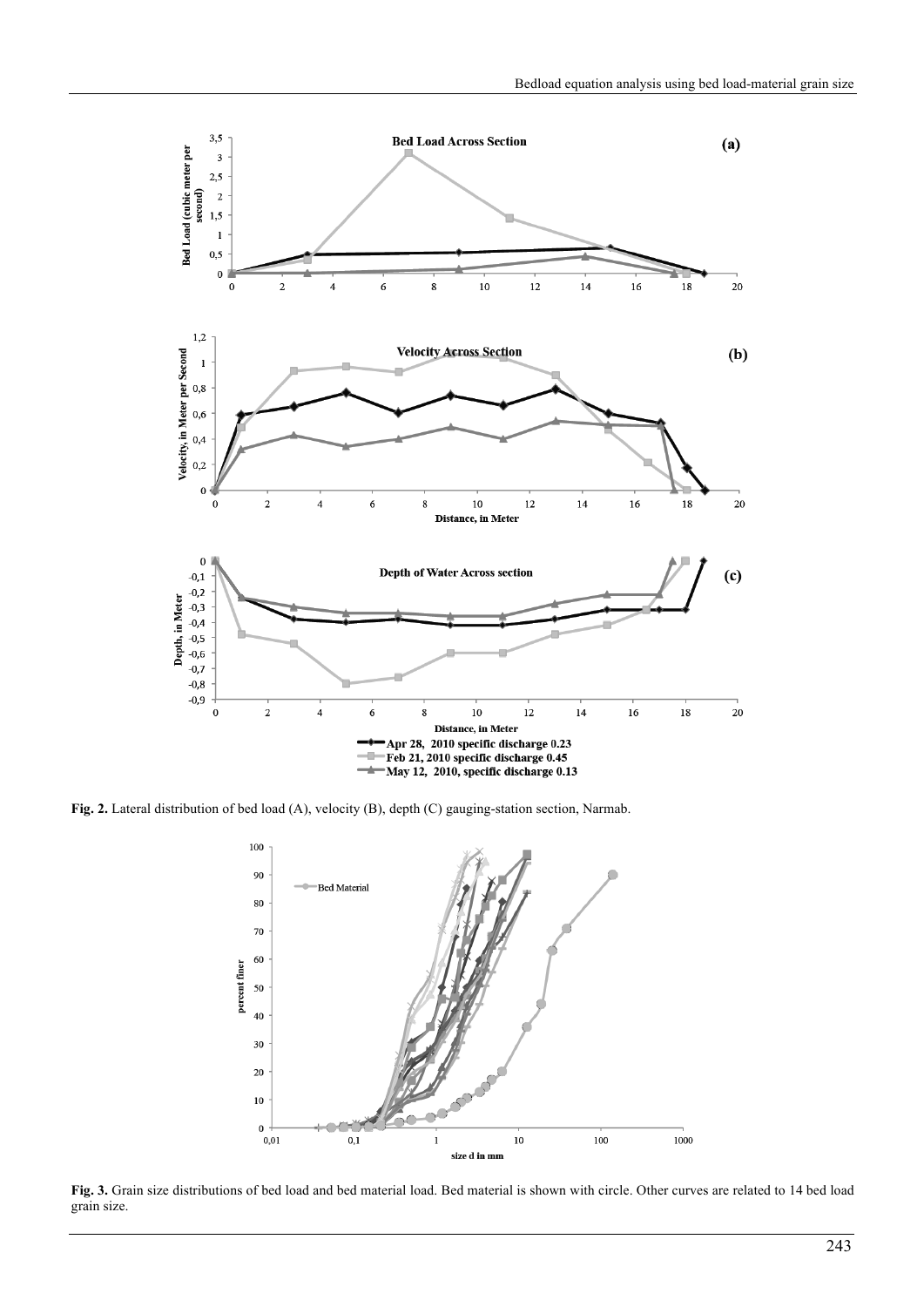

**Fig. 2.** Lateral distribution of bed load (A), velocity (B), depth (C) gauging-station section, Narmab.



**Fig. 3.** Grain size distributions of bed load and bed material load. Bed material is shown with circle. Other curves are related to 14 bed load grain size.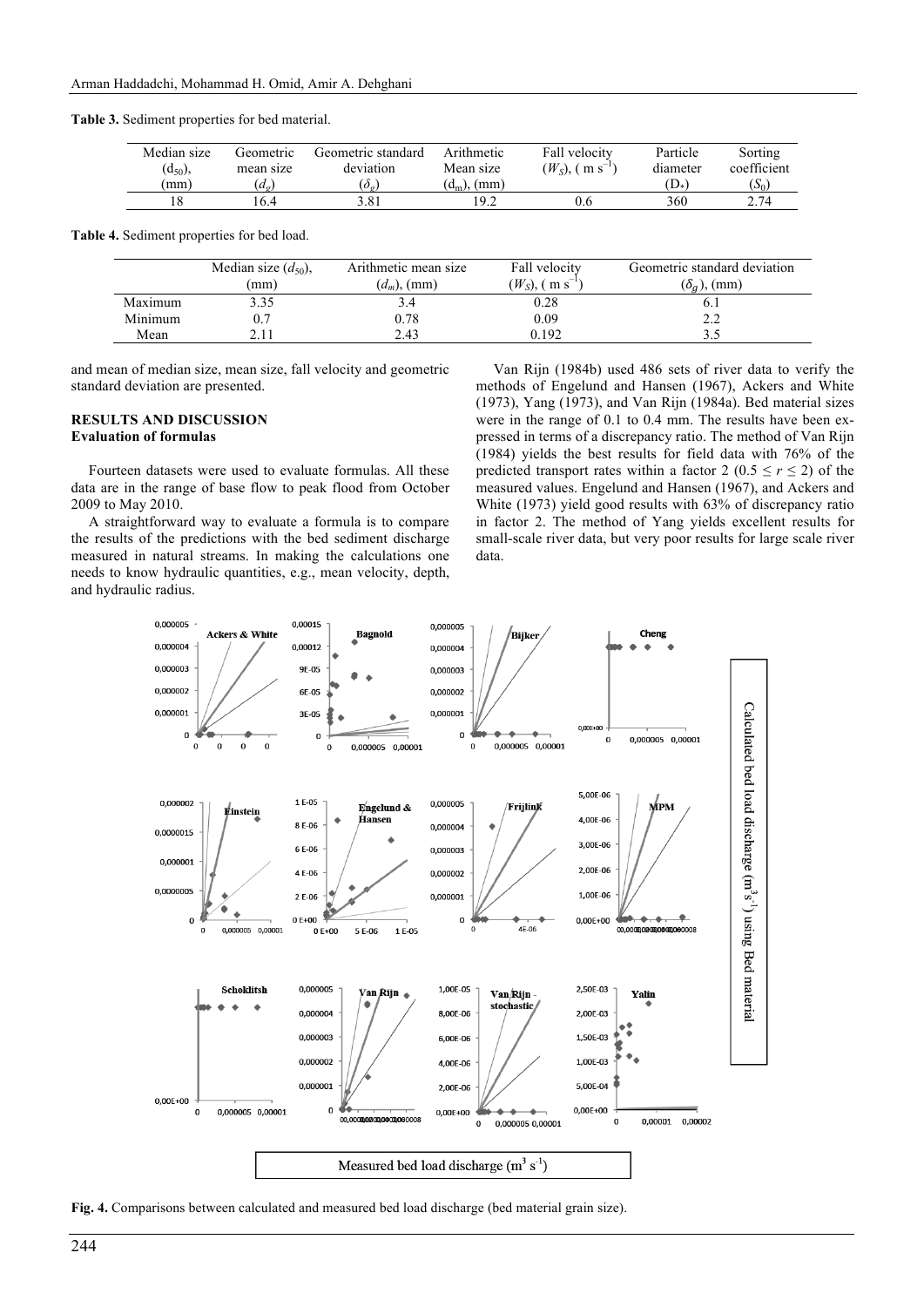| Median size<br>$(d_{50}),$ | Geometric<br>mean size | Geometric standard<br>deviation | Arithmetic<br>Mean size | Fall velocity<br>$(W_{S})$ , (m s <sup>-1)</sup> | Particle<br>diameter | Sorting<br>coefficient |
|----------------------------|------------------------|---------------------------------|-------------------------|--------------------------------------------------|----------------------|------------------------|
| (mm)                       | $d_{\sigma}$           | $(0_{\sigma})$                  | $(d_m)$ , (mm)          |                                                  | D.                   | $(S_0)$                |
|                            | 6.4                    | 3.81                            | 19.2                    |                                                  | 360                  | 2.74                   |

**Table 4.** Sediment properties for bed load.

|         | Median size $(d_{50})$ , | Arithmetic mean size | Fall velocity                  | Geometric standard deviation |
|---------|--------------------------|----------------------|--------------------------------|------------------------------|
|         | (mm)                     | $(d_m)$ , (mm)       | $(W_S)$ , (m s <sup>-1</sup> ) | $(\delta_a)$ , (mm)          |
| Maximum | 3.35                     |                      | 0.28                           | O. I                         |
| Minimum |                          | 0.78                 | 0.09                           | າ າ<br>∠.∠                   |
| Mean    |                          | 2.43                 | 0.192                          |                              |

and mean of median size, mean size, fall velocity and geometric standard deviation are presented.

### **RESULTS AND DISCUSSION Evaluation of formulas**

Fourteen datasets were used to evaluate formulas. All these data are in the range of base flow to peak flood from October 2009 to May 2010.

A straightforward way to evaluate a formula is to compare the results of the predictions with the bed sediment discharge measured in natural streams. In making the calculations one needs to know hydraulic quantities, e.g., mean velocity, depth, and hydraulic radius.

Van Rijn (1984b) used 486 sets of river data to verify the methods of Engelund and Hansen (1967), Ackers and White (1973), Yang (1973), and Van Rijn (1984a). Bed material sizes were in the range of 0.1 to 0.4 mm. The results have been expressed in terms of a discrepancy ratio. The method of Van Rijn (1984) yields the best results for field data with 76% of the predicted transport rates within a factor 2 ( $0.5 \le r \le 2$ ) of the measured values. Engelund and Hansen (1967), and Ackers and White (1973) yield good results with 63% of discrepancy ratio in factor 2. The method of Yang yields excellent results for small-scale river data, but very poor results for large scale river data.



**Fig. 4.** Comparisons between calculated and measured bed load discharge (bed material grain size).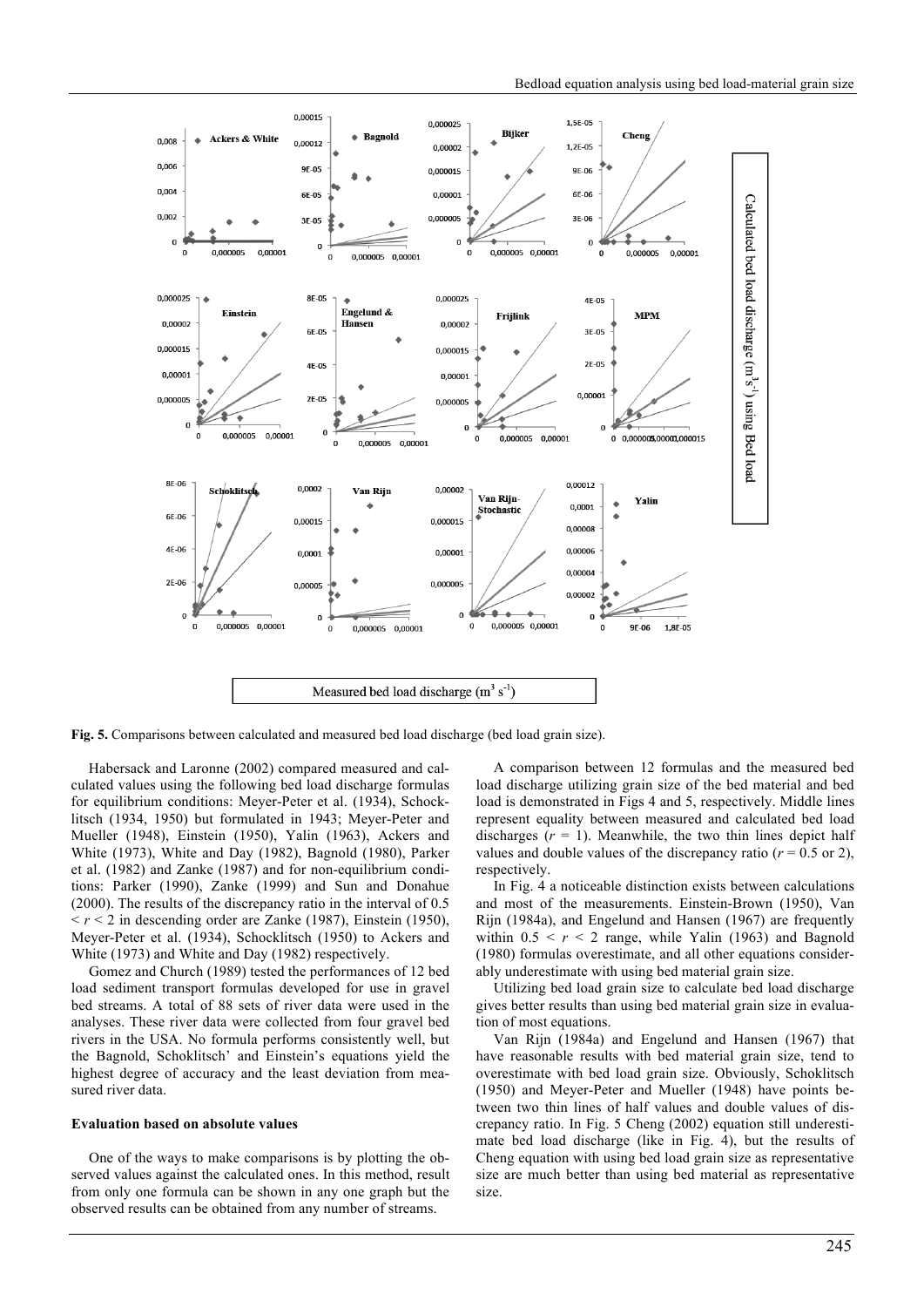

**Fig. 5.** Comparisons between calculated and measured bed load discharge (bed load grain size).

Habersack and Laronne (2002) compared measured and calculated values using the following bed load discharge formulas for equilibrium conditions: Meyer-Peter et al. (1934), Schocklitsch (1934, 1950) but formulated in 1943; Meyer-Peter and Mueller (1948), Einstein (1950), Yalin (1963), Ackers and White (1973), White and Day (1982), Bagnold (1980), Parker et al. (1982) and Zanke (1987) and for non-equilibrium conditions: Parker (1990), Zanke (1999) and Sun and Donahue (2000). The results of the discrepancy ratio in the interval of 0.5  $\leq r \leq 2$  in descending order are Zanke (1987), Einstein (1950), Meyer-Peter et al. (1934), Schocklitsch (1950) to Ackers and White (1973) and White and Day (1982) respectively.

Gomez and Church (1989) tested the performances of 12 bed load sediment transport formulas developed for use in gravel bed streams. A total of 88 sets of river data were used in the analyses. These river data were collected from four gravel bed rivers in the USA. No formula performs consistently well, but the Bagnold, Schoklitsch' and Einstein's equations yield the highest degree of accuracy and the least deviation from measured river data.

#### **Evaluation based on absolute values**

One of the ways to make comparisons is by plotting the observed values against the calculated ones. In this method, result from only one formula can be shown in any one graph but the observed results can be obtained from any number of streams.

A comparison between 12 formulas and the measured bed load discharge utilizing grain size of the bed material and bed load is demonstrated in Figs 4 and 5, respectively. Middle lines represent equality between measured and calculated bed load discharges  $(r = 1)$ . Meanwhile, the two thin lines depict half values and double values of the discrepancy ratio  $(r = 0.5 \text{ or } 2)$ , respectively.

In Fig. 4 a noticeable distinction exists between calculations and most of the measurements. Einstein-Brown (1950), Van Rijn (1984a), and Engelund and Hansen (1967) are frequently within  $0.5 < r < 2$  range, while Yalin (1963) and Bagnold (1980) formulas overestimate, and all other equations considerably underestimate with using bed material grain size.

Utilizing bed load grain size to calculate bed load discharge gives better results than using bed material grain size in evaluation of most equations.

Van Rijn (1984a) and Engelund and Hansen (1967) that have reasonable results with bed material grain size, tend to overestimate with bed load grain size. Obviously, Schoklitsch (1950) and Meyer-Peter and Mueller (1948) have points between two thin lines of half values and double values of discrepancy ratio. In Fig. 5 Cheng (2002) equation still underestimate bed load discharge (like in Fig. 4), but the results of Cheng equation with using bed load grain size as representative size are much better than using bed material as representative size.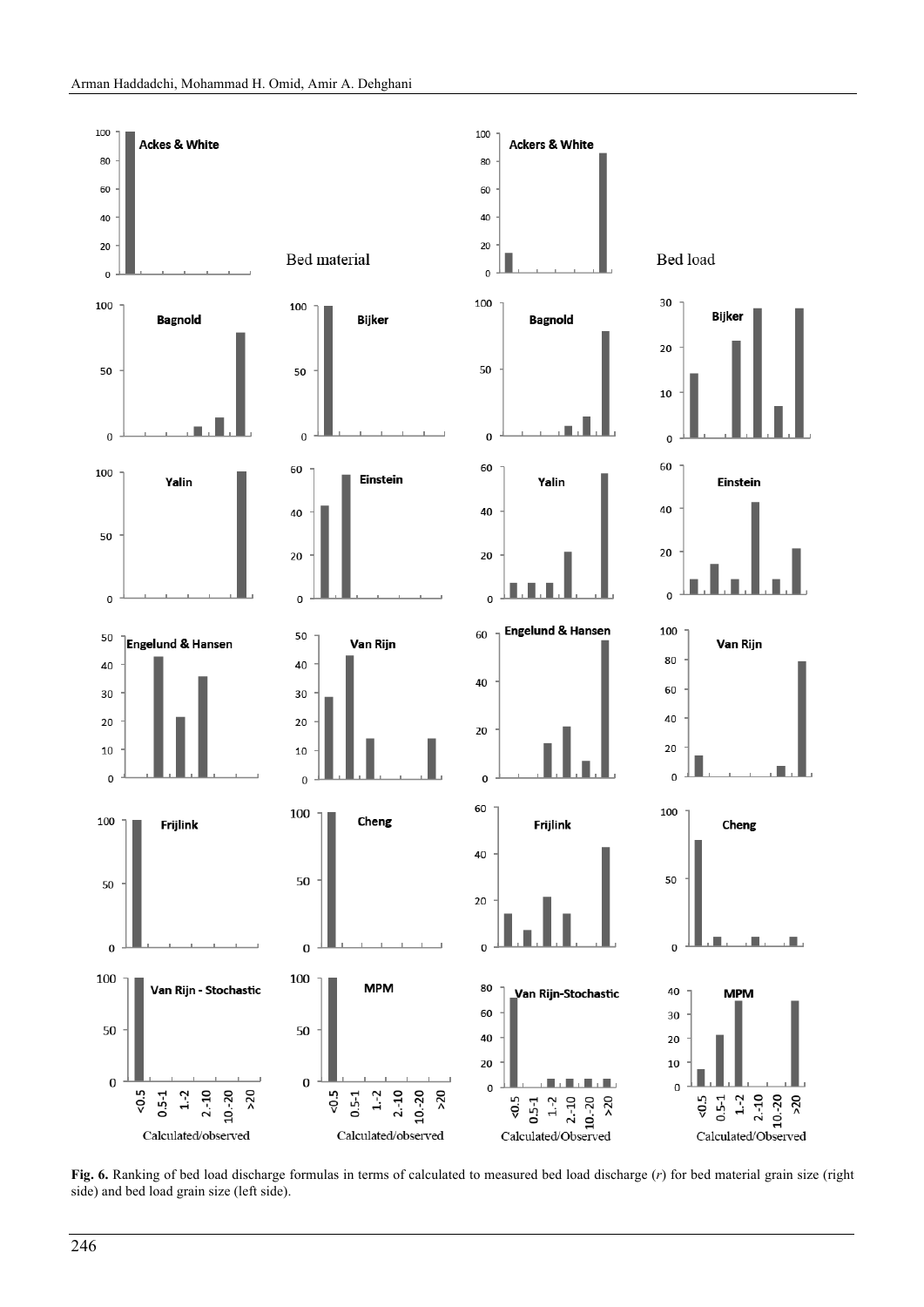

**Fig. 6.** Ranking of bed load discharge formulas in terms of calculated to measured bed load discharge (*r*) for bed material grain size (right side) and bed load grain size (left side).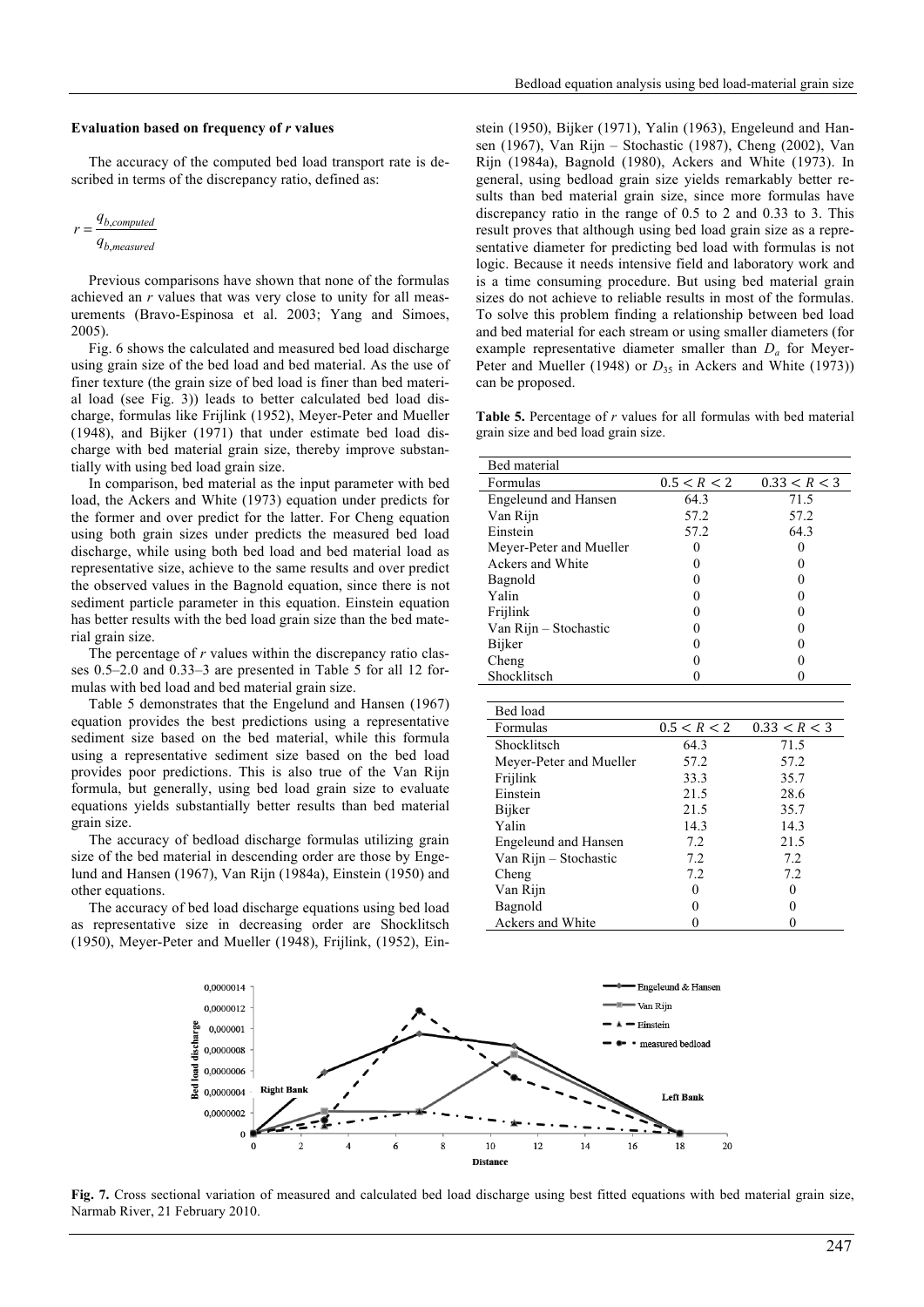#### **Evaluation based on frequency of** *r* **values**

The accuracy of the computed bed load transport rate is described in terms of the discrepancy ratio, defined as:

$$
r = \frac{q_{b,computed}}{q_{b, measured}}
$$

Previous comparisons have shown that none of the formulas achieved an *r* values that was very close to unity for all measurements (Bravo-Espinosa et al. 2003; Yang and Simoes, 2005).

Fig. 6 shows the calculated and measured bed load discharge using grain size of the bed load and bed material. As the use of finer texture (the grain size of bed load is finer than bed material load (see Fig. 3)) leads to better calculated bed load discharge, formulas like Frijlink (1952), Meyer-Peter and Mueller (1948), and Bijker (1971) that under estimate bed load discharge with bed material grain size, thereby improve substantially with using bed load grain size.

In comparison, bed material as the input parameter with bed load, the Ackers and White (1973) equation under predicts for the former and over predict for the latter. For Cheng equation using both grain sizes under predicts the measured bed load discharge, while using both bed load and bed material load as representative size, achieve to the same results and over predict the observed values in the Bagnold equation, since there is not sediment particle parameter in this equation. Einstein equation has better results with the bed load grain size than the bed material grain size.

The percentage of *r* values within the discrepancy ratio classes 0.5–2.0 and 0.33–3 are presented in Table 5 for all 12 formulas with bed load and bed material grain size.

Table 5 demonstrates that the Engelund and Hansen (1967) equation provides the best predictions using a representative sediment size based on the bed material, while this formula using a representative sediment size based on the bed load provides poor predictions. This is also true of the Van Rijn formula, but generally, using bed load grain size to evaluate equations yields substantially better results than bed material grain size.

The accuracy of bedload discharge formulas utilizing grain size of the bed material in descending order are those by Engelund and Hansen (1967), Van Rijn (1984a), Einstein (1950) and other equations.

The accuracy of bed load discharge equations using bed load as representative size in decreasing order are Shocklitsch (1950), Meyer-Peter and Mueller (1948), Frijlink, (1952), Einstein (1950), Bijker (1971), Yalin (1963), Engeleund and Hansen (1967), Van Rijn – Stochastic (1987), Cheng (2002), Van Rijn (1984a), Bagnold (1980), Ackers and White (1973). In general, using bedload grain size yields remarkably better results than bed material grain size, since more formulas have discrepancy ratio in the range of 0.5 to 2 and 0.33 to 3. This result proves that although using bed load grain size as a representative diameter for predicting bed load with formulas is not logic. Because it needs intensive field and laboratory work and is a time consuming procedure. But using bed material grain sizes do not achieve to reliable results in most of the formulas. To solve this problem finding a relationship between bed load and bed material for each stream or using smaller diameters (for example representative diameter smaller than *Da* for Meyer-Peter and Mueller (1948) or  $D_{35}$  in Ackers and White (1973)) can be proposed.

**Table 5.** Percentage of *r* values for all formulas with bed material grain size and bed load grain size.

| Bed material            |             |              |
|-------------------------|-------------|--------------|
| Formulas                | 0.5 < R < 2 | 0.33 < R < 3 |
| Engeleund and Hansen    | 64.3        | 71.5         |
| Van Rijn                | 57.2        | 57.2         |
| Einstein                | 57.2        | 64.3         |
| Meyer-Peter and Mueller |             |              |
| Ackers and White        |             |              |
| Bagnold                 |             |              |
| Yalin                   |             |              |
| Frijlink                |             |              |
| Van Rijn – Stochastic   |             |              |
| Bijker                  |             |              |
| Cheng                   |             |              |
| Shocklitsch             |             |              |

| Bed load                |             |              |
|-------------------------|-------------|--------------|
| Formulas                | 0.5 < R < 2 | 0.33 < R < 3 |
| Shocklitsch             | 64.3        | 71.5         |
| Meyer-Peter and Mueller | 57.2        | 57.2         |
| Frijlink                | 33.3        | 35.7         |
| Einstein                | 21.5        | 28.6         |
| Bijker                  | 21.5        | 35.7         |
| Yalin                   | 14.3        | 14.3         |
| Engeleund and Hansen    | 7.2         | 21.5         |
| Van Rijn – Stochastic   | 7.2         | 7.2          |
| Cheng                   | 7.2         | 7.2          |
| Van Rijn                |             | $\mathbf{0}$ |
| Bagnold                 |             |              |
| Ackers and White        |             |              |



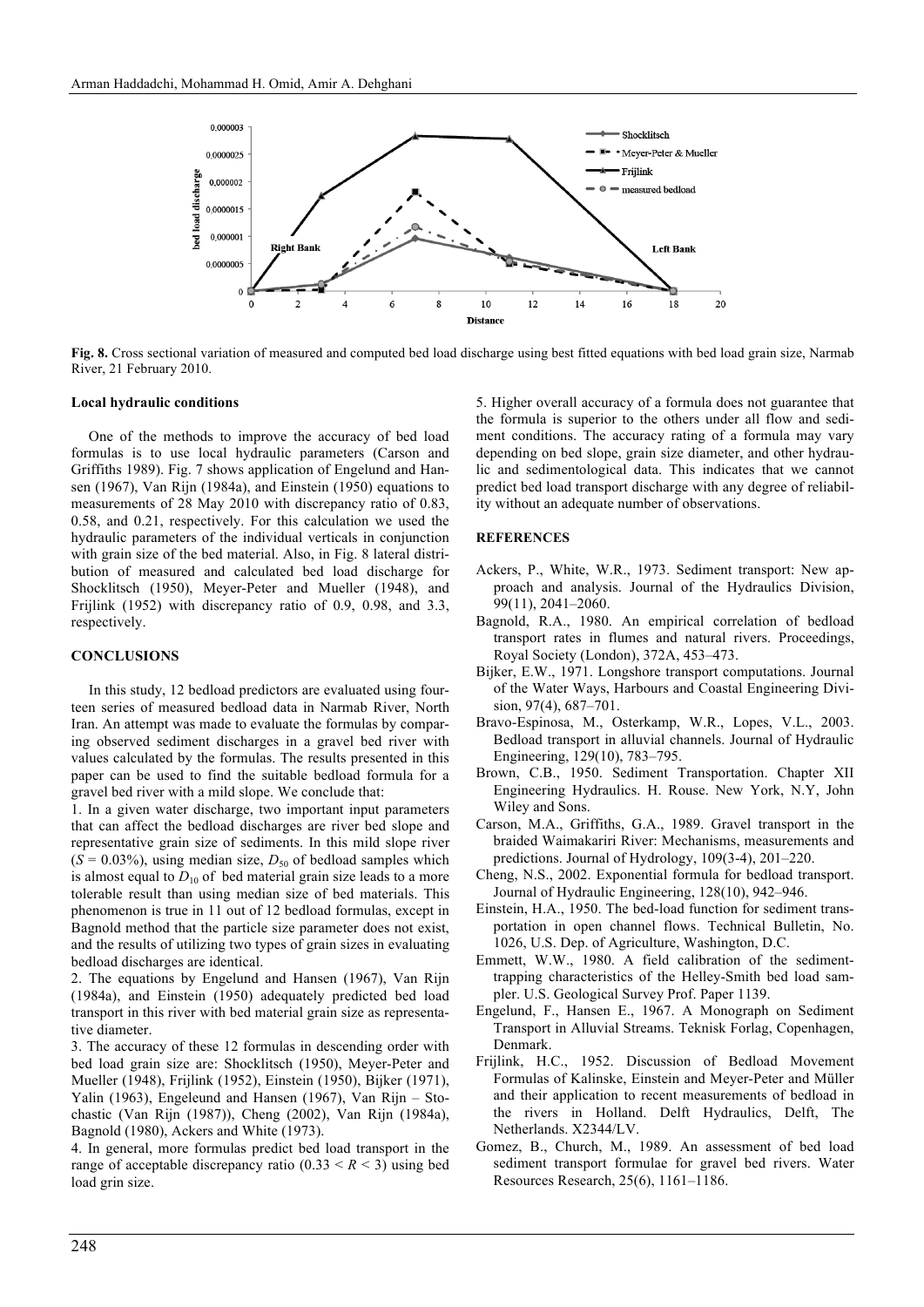

**Fig. 8.** Cross sectional variation of measured and computed bed load discharge using best fitted equations with bed load grain size, Narmab River, 21 February 2010.

#### **Local hydraulic conditions**

One of the methods to improve the accuracy of bed load formulas is to use local hydraulic parameters (Carson and Griffiths 1989). Fig. 7 shows application of Engelund and Hansen (1967), Van Rijn (1984a), and Einstein (1950) equations to measurements of 28 May 2010 with discrepancy ratio of 0.83, 0.58, and 0.21, respectively. For this calculation we used the hydraulic parameters of the individual verticals in conjunction with grain size of the bed material. Also, in Fig. 8 lateral distribution of measured and calculated bed load discharge for Shocklitsch (1950), Meyer-Peter and Mueller (1948), and Frijlink (1952) with discrepancy ratio of 0.9, 0.98, and 3.3, respectively.

# **CONCLUSIONS**

In this study, 12 bedload predictors are evaluated using fourteen series of measured bedload data in Narmab River, North Iran. An attempt was made to evaluate the formulas by comparing observed sediment discharges in a gravel bed river with values calculated by the formulas. The results presented in this paper can be used to find the suitable bedload formula for a gravel bed river with a mild slope. We conclude that:

1. In a given water discharge, two important input parameters that can affect the bedload discharges are river bed slope and representative grain size of sediments. In this mild slope river  $(S = 0.03\%)$ , using median size,  $D_{50}$  of bedload samples which is almost equal to  $D_{10}$  of bed material grain size leads to a more tolerable result than using median size of bed materials. This phenomenon is true in 11 out of 12 bedload formulas, except in Bagnold method that the particle size parameter does not exist, and the results of utilizing two types of grain sizes in evaluating bedload discharges are identical.

2. The equations by Engelund and Hansen (1967), Van Rijn (1984a), and Einstein (1950) adequately predicted bed load transport in this river with bed material grain size as representative diameter.

3. The accuracy of these 12 formulas in descending order with bed load grain size are: Shocklitsch (1950), Meyer-Peter and Mueller (1948), Frijlink (1952), Einstein (1950), Bijker (1971), Yalin (1963), Engeleund and Hansen (1967), Van Rijn – Stochastic (Van Rijn (1987)), Cheng (2002), Van Rijn (1984a), Bagnold (1980), Ackers and White (1973).

4. In general, more formulas predict bed load transport in the range of acceptable discrepancy ratio  $(0.33 \le R \le 3)$  using bed load grin size.

5. Higher overall accuracy of a formula does not guarantee that the formula is superior to the others under all flow and sediment conditions. The accuracy rating of a formula may vary depending on bed slope, grain size diameter, and other hydraulic and sedimentological data. This indicates that we cannot predict bed load transport discharge with any degree of reliability without an adequate number of observations.

# **REFERENCES**

- Ackers, P., White, W.R., 1973. Sediment transport: New approach and analysis. Journal of the Hydraulics Division, 99(11), 2041–2060.
- Bagnold, R.A., 1980. An empirical correlation of bedload transport rates in flumes and natural rivers. Proceedings, Royal Society (London), 372A, 453–473.
- Bijker, E.W., 1971. Longshore transport computations. Journal of the Water Ways, Harbours and Coastal Engineering Division, 97(4), 687–701.
- Bravo-Espinosa, M., Osterkamp, W.R., Lopes, V.L., 2003. Bedload transport in alluvial channels. Journal of Hydraulic Engineering, 129(10), 783–795.
- Brown, C.B., 1950. Sediment Transportation. Chapter XII Engineering Hydraulics. H. Rouse. New York, N.Y, John Wiley and Sons.
- Carson, M.A., Griffiths, G.A., 1989. Gravel transport in the braided Waimakariri River: Mechanisms, measurements and predictions. Journal of Hydrology, 109(3-4), 201–220.
- Cheng, N.S., 2002. Exponential formula for bedload transport. Journal of Hydraulic Engineering, 128(10), 942–946.
- Einstein, H.A., 1950. The bed-load function for sediment transportation in open channel flows. Technical Bulletin, No. 1026, U.S. Dep. of Agriculture, Washington, D.C.
- Emmett, W.W., 1980. A field calibration of the sedimenttrapping characteristics of the Helley-Smith bed load sampler. U.S. Geological Survey Prof. Paper 1139.
- Engelund, F., Hansen E., 1967. A Monograph on Sediment Transport in Alluvial Streams. Teknisk Forlag, Copenhagen, Denmark.
- Frijlink, H.C., 1952. Discussion of Bedload Movement Formulas of Kalinske, Einstein and Meyer-Peter and Müller and their application to recent measurements of bedload in the rivers in Holland. Delft Hydraulics, Delft, The Netherlands. X2344/LV.
- Gomez, B., Church, M., 1989. An assessment of bed load sediment transport formulae for gravel bed rivers. Water Resources Research, 25(6), 1161–1186.